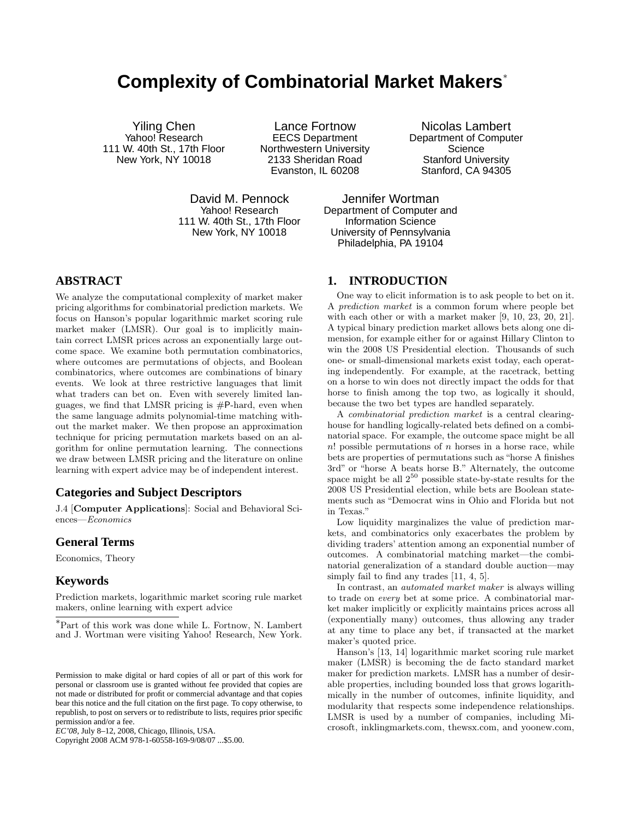# **Complexity of Combinatorial Market Makers** ∗

Yiling Chen Yahoo! Research 111 W. 40th St., 17th Floor New York, NY 10018

Lance Fortnow EECS Department Northwestern University 2133 Sheridan Road Evanston, IL 60208

Nicolas Lambert Department of Computer Science Stanford University Stanford, CA 94305

David M. Pennock Yahoo! Research 111 W. 40th St., 17th Floor New York, NY 10018

Jennifer Wortman Department of Computer and Information Science University of Pennsylvania Philadelphia, PA 19104

# **ABSTRACT**

We analyze the computational complexity of market maker pricing algorithms for combinatorial prediction markets. We focus on Hanson's popular logarithmic market scoring rule market maker (LMSR). Our goal is to implicitly maintain correct LMSR prices across an exponentially large outcome space. We examine both permutation combinatorics, where outcomes are permutations of objects, and Boolean combinatorics, where outcomes are combinations of binary events. We look at three restrictive languages that limit what traders can bet on. Even with severely limited languages, we find that LMSR pricing is  $#P$ -hard, even when the same language admits polynomial-time matching without the market maker. We then propose an approximation technique for pricing permutation markets based on an algorithm for online permutation learning. The connections we draw between LMSR pricing and the literature on online learning with expert advice may be of independent interest.

# **Categories and Subject Descriptors**

J.4 [Computer Applications]: Social and Behavioral Sciences—Economics

# **General Terms**

Economics, Theory

#### **Keywords**

Prediction markets, logarithmic market scoring rule market makers, online learning with expert advice

Copyright 2008 ACM 978-1-60558-169-9/08/07 ...\$5.00.

## **1. INTRODUCTION**

One way to elicit information is to ask people to bet on it. A prediction market is a common forum where people bet with each other or with a market maker [9, 10, 23, 20, 21]. A typical binary prediction market allows bets along one dimension, for example either for or against Hillary Clinton to win the 2008 US Presidential election. Thousands of such one- or small-dimensional markets exist today, each operating independently. For example, at the racetrack, betting on a horse to win does not directly impact the odds for that horse to finish among the top two, as logically it should, because the two bet types are handled separately.

A combinatorial prediction market is a central clearinghouse for handling logically-related bets defined on a combinatorial space. For example, the outcome space might be all  $n!$  possible permutations of  $n$  horses in a horse race, while bets are properties of permutations such as "horse A finishes 3rd" or "horse A beats horse B." Alternately, the outcome space might be all  $2^{50}$  possible state-by-state results for the 2008 US Presidential election, while bets are Boolean statements such as "Democrat wins in Ohio and Florida but not in Texas."

Low liquidity marginalizes the value of prediction markets, and combinatorics only exacerbates the problem by dividing traders' attention among an exponential number of outcomes. A combinatorial matching market—the combinatorial generalization of a standard double auction—may simply fail to find any trades [11, 4, 5].

In contrast, an automated market maker is always willing to trade on every bet at some price. A combinatorial market maker implicitly or explicitly maintains prices across all (exponentially many) outcomes, thus allowing any trader at any time to place any bet, if transacted at the market maker's quoted price.

Hanson's [13, 14] logarithmic market scoring rule market maker (LMSR) is becoming the de facto standard market maker for prediction markets. LMSR has a number of desirable properties, including bounded loss that grows logarithmically in the number of outcomes, infinite liquidity, and modularity that respects some independence relationships. LMSR is used by a number of companies, including Microsoft, inklingmarkets.com, thewsx.com, and yoonew.com,

<sup>∗</sup>Part of this work was done while L. Fortnow, N. Lambert and J. Wortman were visiting Yahoo! Research, New York.

Permission to make digital or hard copies of all or part of this work for personal or classroom use is granted without fee provided that copies are not made or distributed for profit or commercial advantage and that copies bear this notice and the full citation on the first page. To copy otherwise, to republish, to post on servers or to redistribute to lists, requires prior specific permission and/or a fee.

*EC'08,* July 8–12, 2008, Chicago, Illinois, USA.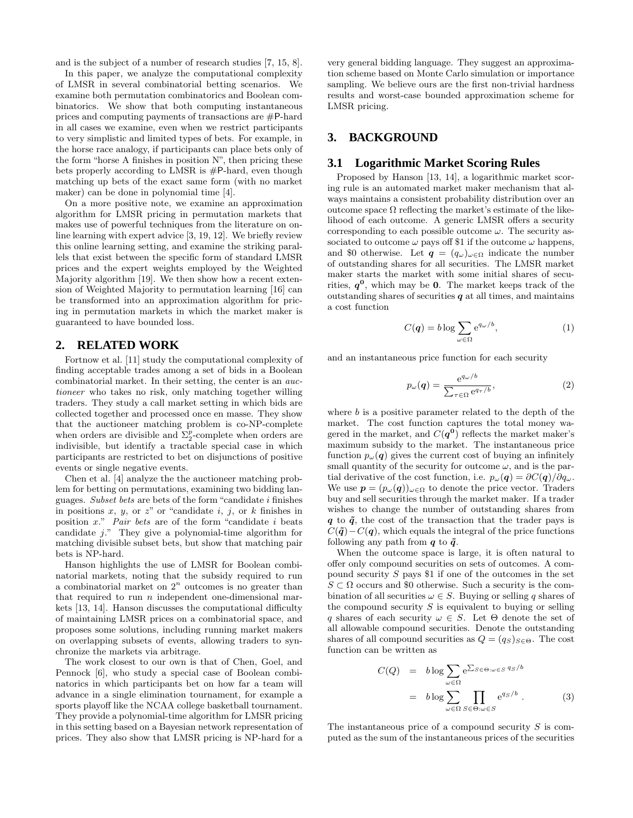and is the subject of a number of research studies [7, 15, 8].

In this paper, we analyze the computational complexity of LMSR in several combinatorial betting scenarios. We examine both permutation combinatorics and Boolean combinatorics. We show that both computing instantaneous prices and computing payments of transactions are #P-hard in all cases we examine, even when we restrict participants to very simplistic and limited types of bets. For example, in the horse race analogy, if participants can place bets only of the form "horse A finishes in position N", then pricing these bets properly according to LMSR is #P-hard, even though matching up bets of the exact same form (with no market maker) can be done in polynomial time [4].

On a more positive note, we examine an approximation algorithm for LMSR pricing in permutation markets that makes use of powerful techniques from the literature on online learning with expert advice [3, 19, 12]. We briefly review this online learning setting, and examine the striking parallels that exist between the specific form of standard LMSR prices and the expert weights employed by the Weighted Majority algorithm [19]. We then show how a recent extension of Weighted Majority to permutation learning [16] can be transformed into an approximation algorithm for pricing in permutation markets in which the market maker is guaranteed to have bounded loss.

#### **2. RELATED WORK**

Fortnow et al. [11] study the computational complexity of finding acceptable trades among a set of bids in a Boolean combinatorial market. In their setting, the center is an auctioneer who takes no risk, only matching together willing traders. They study a call market setting in which bids are collected together and processed once en masse. They show that the auctioneer matching problem is co-NP-complete when orders are divisible and  $\Sigma_2^p$ -complete when orders are indivisible, but identify a tractable special case in which participants are restricted to bet on disjunctions of positive events or single negative events.

Chen et al. [4] analyze the the auctioneer matching problem for betting on permutations, examining two bidding languages. Subset bets are bets of the form "candidate  $i$  finishes in positions  $x, y$ , or  $z$ " or "candidate  $i, j$ , or  $k$  finishes in position  $x$ ." Pair bets are of the form "candidate i beats candidate  $j$ ." They give a polynomial-time algorithm for matching divisible subset bets, but show that matching pair bets is NP-hard.

Hanson highlights the use of LMSR for Boolean combinatorial markets, noting that the subsidy required to run a combinatorial market on  $2^n$  outcomes is no greater than that required to run  $n$  independent one-dimensional markets [13, 14]. Hanson discusses the computational difficulty of maintaining LMSR prices on a combinatorial space, and proposes some solutions, including running market makers on overlapping subsets of events, allowing traders to synchronize the markets via arbitrage.

The work closest to our own is that of Chen, Goel, and Pennock [6], who study a special case of Boolean combinatorics in which participants bet on how far a team will advance in a single elimination tournament, for example a sports playoff like the NCAA college basketball tournament. They provide a polynomial-time algorithm for LMSR pricing in this setting based on a Bayesian network representation of prices. They also show that LMSR pricing is NP-hard for a

very general bidding language. They suggest an approximation scheme based on Monte Carlo simulation or importance sampling. We believe ours are the first non-trivial hardness results and worst-case bounded approximation scheme for LMSR pricing.

# **3. BACKGROUND**

#### **3.1 Logarithmic Market Scoring Rules**

Proposed by Hanson [13, 14], a logarithmic market scoring rule is an automated market maker mechanism that always maintains a consistent probability distribution over an outcome space  $\Omega$  reflecting the market's estimate of the likelihood of each outcome. A generic LMSR offers a security corresponding to each possible outcome  $\omega$ . The security associated to outcome  $\omega$  pays off \$1 if the outcome  $\omega$  happens, and \$0 otherwise. Let  $q = (q_{\omega})_{\omega \in \Omega}$  indicate the number of outstanding shares for all securities. The LMSR market maker starts the market with some initial shares of securities,  $q^0$ , which may be 0. The market keeps track of the outstanding shares of securities  $q$  at all times, and maintains a cost function

$$
C(\mathbf{q}) = b \log \sum_{\omega \in \Omega} e^{q\omega/b}, \tag{1}
$$

and an instantaneous price function for each security

$$
p_{\omega}(q) = \frac{e^{q_{\omega}/b}}{\sum_{\tau \in \Omega} e^{q_{\tau}/b}},\tag{2}
$$

where  $b$  is a positive parameter related to the depth of the market. The cost function captures the total money wagered in the market, and  $C(q^0)$  reflects the market maker's maximum subsidy to the market. The instantaneous price function  $p_{\omega}(\boldsymbol{q})$  gives the current cost of buying an infinitely small quantity of the security for outcome  $\omega$ , and is the partial derivative of the cost function, i.e.  $p_{\omega}(q) = \partial C(q)/\partial q_{\omega}$ . We use  $p = (p_{\omega}(q))_{\omega \in \Omega}$  to denote the price vector. Traders buy and sell securities through the market maker. If a trader wishes to change the number of outstanding shares from  $q$  to  $\tilde{q}$ , the cost of the transaction that the trader pays is  $C(\tilde{\mathbf{q}}) - C(\mathbf{q})$ , which equals the integral of the price functions following any path from  $q$  to  $\tilde{q}$ .

When the outcome space is large, it is often natural to offer only compound securities on sets of outcomes. A compound security S pays \$1 if one of the outcomes in the set  $S \subset \Omega$  occurs and \$0 otherwise. Such a security is the combination of all securities  $\omega \in S$ . Buying or selling q shares of the compound security  $S$  is equivalent to buying or selling q shares of each security  $\omega \in S$ . Let  $\Theta$  denote the set of all allowable compound securities. Denote the outstanding shares of all compound securities as  $Q = (q_S)_{S \in \Theta}$ . The cost function can be written as

$$
C(Q) = b \log \sum_{\omega \in \Omega} e^{\sum_{S \in \Theta : \omega \in S} q_S/b}
$$
  
=  $b \log \sum_{\omega \in \Omega} \prod_{S \in \Theta : \omega \in S} e^{q_S/b}$ . (3)

The instantaneous price of a compound security  $S$  is computed as the sum of the instantaneous prices of the securities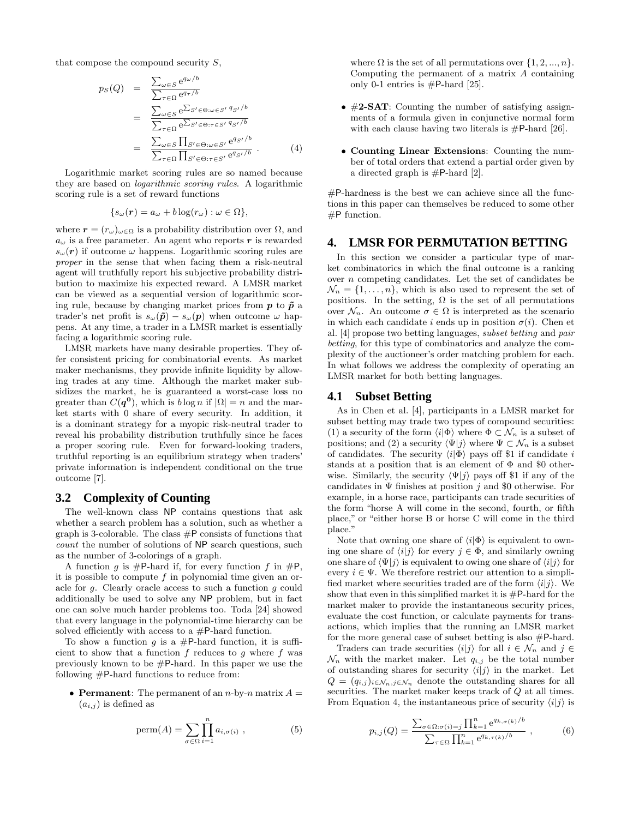that compose the compound security  $S$ ,

$$
p_S(Q) = \frac{\sum_{\omega \in S} e^{q_{\omega}/b}}{\sum_{\tau \in \Omega} e^{q_{\tau}/b}}
$$
  
= 
$$
\frac{\sum_{\omega \in S} e^{\sum_{S'} \in \Theta : \omega \in S'} q_{S'} / b}{\sum_{\tau \in \Omega} e^{\sum_{S'} \in \Theta : \tau \in S'} q_{S'} / b}
$$
  
= 
$$
\frac{\sum_{\omega \in S} \prod_{S' \in \Theta : \omega \in S'} e^{q_{S'} / b}}{\sum_{\tau \in \Omega} \prod_{S' \in \Theta : \tau \in S'} e^{q_{S'} / b}}.
$$
 (4)

Logarithmic market scoring rules are so named because they are based on logarithmic scoring rules. A logarithmic scoring rule is a set of reward functions

$$
\{s_{\omega}(\boldsymbol{r})=a_{\omega}+b\log(r_{\omega}): \omega\in\Omega\},\
$$

where  $\mathbf{r} = (r_{\omega})_{\omega \in \Omega}$  is a probability distribution over  $\Omega$ , and  $a_{\omega}$  is a free parameter. An agent who reports r is rewarded  $s_{\omega}(r)$  if outcome  $\omega$  happens. Logarithmic scoring rules are proper in the sense that when facing them a risk-neutral agent will truthfully report his subjective probability distribution to maximize his expected reward. A LMSR market can be viewed as a sequential version of logarithmic scoring rule, because by changing market prices from  $p$  to  $\tilde{p}$  a trader's net profit is  $s_{\omega}(\tilde{p}) - s_{\omega}(p)$  when outcome  $\omega$  happens. At any time, a trader in a LMSR market is essentially facing a logarithmic scoring rule.

LMSR markets have many desirable properties. They offer consistent pricing for combinatorial events. As market maker mechanisms, they provide infinite liquidity by allowing trades at any time. Although the market maker subsidizes the market, he is guaranteed a worst-case loss no greater than  $C(\boldsymbol{q}^{\mathbf{0}})$ , which is  $b \log n$  if  $|\Omega| = n$  and the market starts with 0 share of every security. In addition, it is a dominant strategy for a myopic risk-neutral trader to reveal his probability distribution truthfully since he faces a proper scoring rule. Even for forward-looking traders, truthful reporting is an equilibrium strategy when traders' private information is independent conditional on the true outcome [7].

#### **3.2 Complexity of Counting**

The well-known class NP contains questions that ask whether a search problem has a solution, such as whether a graph is 3-colorable. The class  $#P$  consists of functions that count the number of solutions of NP search questions, such as the number of 3-colorings of a graph.

A function g is  $\#P$ -hard if, for every function f in  $\#P$ , it is possible to compute  $f$  in polynomial time given an oracle for g. Clearly oracle access to such a function g could additionally be used to solve any NP problem, but in fact one can solve much harder problems too. Toda [24] showed that every language in the polynomial-time hierarchy can be solved efficiently with access to a  $#P$ -hard function.

To show a function g is a #P-hard function, it is sufficient to show that a function  $f$  reduces to  $g$  where  $f$  was previously known to be #P-hard. In this paper we use the following  $\#P$ -hard functions to reduce from:

• Permanent: The permanent of an *n*-by-*n* matrix  $A =$  $(a_{i,j})$  is defined as

$$
\text{perm}(A) = \sum_{\sigma \in \Omega} \prod_{i=1}^{n} a_{i,\sigma(i)}, \qquad (5)
$$

where  $\Omega$  is the set of all permutations over  $\{1, 2, ..., n\}$ . Computing the permanent of a matrix A containing only 0-1 entries is  $#P$ -hard [25].

- $\#2\text{-SAT}$ : Counting the number of satisfying assignments of a formula given in conjunctive normal form with each clause having two literals is  $#P$ -hard [26].
- Counting Linear Extensions: Counting the number of total orders that extend a partial order given by a directed graph is  $#P$ -hard [2].

 $#P$ -hardness is the best we can achieve since all the functions in this paper can themselves be reduced to some other #P function.

## **4. LMSR FOR PERMUTATION BETTING**

In this section we consider a particular type of market combinatorics in which the final outcome is a ranking over n competing candidates. Let the set of candidates be  $\mathcal{N}_n = \{1, \ldots, n\}$ , which is also used to represent the set of positions. In the setting,  $\Omega$  is the set of all permutations over  $\mathcal{N}_n$ . An outcome  $\sigma \in \Omega$  is interpreted as the scenario in which each candidate i ends up in position  $\sigma(i)$ . Chen et al. [4] propose two betting languages, subset betting and pair betting, for this type of combinatorics and analyze the complexity of the auctioneer's order matching problem for each. In what follows we address the complexity of operating an LMSR market for both betting languages.

#### **4.1 Subset Betting**

As in Chen et al. [4], participants in a LMSR market for subset betting may trade two types of compound securities: (1) a security of the form  $\langle i|\Phi\rangle$  where  $\Phi \subset \mathcal{N}_n$  is a subset of positions; and (2) a security  $\langle \Psi | j \rangle$  where  $\Psi \subset \mathcal{N}_n$  is a subset of candidates. The security  $\langle i|\Phi\rangle$  pays off \$1 if candidate i stands at a position that is an element of Φ and \$0 otherwise. Similarly, the security  $\langle \Psi | j \rangle$  pays off \$1 if any of the candidates in  $\Psi$  finishes at position j and \$0 otherwise. For example, in a horse race, participants can trade securities of the form "horse A will come in the second, fourth, or fifth place," or "either horse B or horse C will come in the third place."

Note that owning one share of  $\langle i|\Phi\rangle$  is equivalent to owning one share of  $\langle i|j \rangle$  for every  $j \in \Phi$ , and similarly owning one share of  $\langle \Psi | j \rangle$  is equivalent to owing one share of  $\langle i | j \rangle$  for every  $i \in \Psi$ . We therefore restrict our attention to a simplified market where securities traded are of the form  $\langle i|j\rangle$ . We show that even in this simplified market it is  $#P$ -hard for the market maker to provide the instantaneous security prices, evaluate the cost function, or calculate payments for transactions, which implies that the running an LMSR market for the more general case of subset betting is also  $#P$ -hard.

Traders can trade securities  $\langle i|j \rangle$  for all  $i \in \mathcal{N}_n$  and  $j \in$  $\mathcal{N}_n$  with the market maker. Let  $q_{i,j}$  be the total number of outstanding shares for security  $\langle i|j \rangle$  in the market. Let  $Q = (q_{i,j})_{i \in \mathcal{N}_n, j \in \mathcal{N}_n}$  denote the outstanding shares for all securities. The market maker keeps track of  $Q$  at all times. From Equation 4, the instantaneous price of security  $\langle i|j \rangle$  is

$$
p_{i,j}(Q) = \frac{\sum_{\sigma \in \Omega : \sigma(i) = j} \prod_{k=1}^{n} e^{q_{k,\sigma(k)}/b}}{\sum_{\tau \in \Omega} \prod_{k=1}^{n} e^{q_{k,\tau(k)}/b}}, \qquad (6)
$$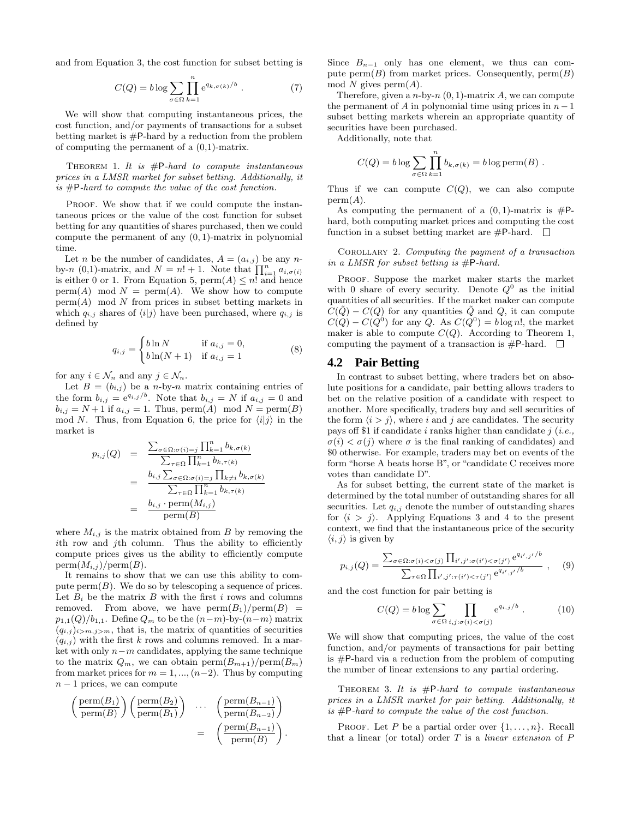and from Equation 3, the cost function for subset betting is

$$
C(Q) = b \log \sum_{\sigma \in \Omega} \prod_{k=1}^{n} e^{q_{k,\sigma(k)}/b} . \tag{7}
$$

We will show that computing instantaneous prices, the cost function, and/or payments of transactions for a subset betting market is  $#P$ -hard by a reduction from the problem of computing the permanent of a (0,1)-matrix.

THEOREM 1. It is  $#P$ -hard to compute instantaneous prices in a LMSR market for subset betting. Additionally, it is #P-hard to compute the value of the cost function.

PROOF. We show that if we could compute the instantaneous prices or the value of the cost function for subset betting for any quantities of shares purchased, then we could compute the permanent of any  $(0, 1)$ -matrix in polynomial time.

Let *n* be the number of candidates,  $A = (a_{i,j})$  be any *n*by-n (0,1)-matrix, and  $N = n! + 1$ . Note that  $\prod_{i=1}^{n} a_{i, \sigma(i)}$ is either 0 or 1. From Equation 5,  $\text{perm}(A) \leq n!$  and hence  $perm(A) \mod N = perm(A)$ . We show how to compute  $perm(A) \mod N$  from prices in subset betting markets in which  $q_{i,j}$  shares of  $\langle i|j \rangle$  have been purchased, where  $q_{i,j}$  is defined by

$$
q_{i,j} = \begin{cases} b \ln N & \text{if } a_{i,j} = 0, \\ b \ln(N+1) & \text{if } a_{i,j} = 1 \end{cases}
$$
 (8)

for any  $i \in \mathcal{N}_n$  and any  $j \in \mathcal{N}_n$ .

Let  $B = (b_{i,j})$  be a *n*-by-*n* matrix containing entries of the form  $b_{i,j} = e^{q_{i,j}/b}$ . Note that  $b_{i,j} = N$  if  $a_{i,j} = 0$  and  $b_{i,j} = N + 1$  if  $a_{i,j} = 1$ . Thus, perm $(A)$  mod  $N = \text{perm}(B)$ mod N. Thus, from Equation 6, the price for  $\langle i|j \rangle$  in the market is

$$
p_{i,j}(Q) = \frac{\sum_{\sigma \in \Omega : \sigma(i)=j} \prod_{k=1}^n b_{k,\sigma(k)}}{\sum_{\tau \in \Omega} \prod_{k=1}^n b_{k,\tau(k)}}
$$
  

$$
= \frac{b_{i,j} \sum_{\sigma \in \Omega : \sigma(i)=j} \prod_{k \neq i} b_{k,\sigma(k)}}{\sum_{\tau \in \Omega} \prod_{k=1}^n b_{k,\tau(k)}}
$$
  

$$
= \frac{b_{i,j} \cdot \text{perm}(M_{i,j})}{\text{perm}(B)}
$$

where  $M_{i,j}$  is the matrix obtained from B by removing the ith row and jth column. Thus the ability to efficiently compute prices gives us the ability to efficiently compute  $perm(M_{i,j})/perm(B).$ 

It remains to show that we can use this ability to compute  $\mathrm{perm}(B)$ . We do so by telescoping a sequence of prices. Let  $B_i$  be the matrix  $B$  with the first i rows and columns removed. From above, we have  $\text{perm}(B_1)/\text{perm}(B) =$  $p_{1,1}(Q)/b_{1,1}$ . Define  $Q_m$  to be the  $(n-m)$ -by- $(n-m)$  matrix  $(q_{i,j})_{i>m,j>m}$ , that is, the matrix of quantities of securities  $(q_{i,j})$  with the first k rows and columns removed. In a market with only  $n-m$  candidates, applying the same technique to the matrix  $Q_m$ , we can obtain  $\text{perm}(B_{m+1})/\text{perm}(B_m)$ from market prices for  $m = 1, ..., (n-2)$ . Thus by computing  $n-1$  prices, we can compute

$$
\begin{pmatrix}\n\text{perm}(B_1) \\
\text{perm}(B)\n\end{pmatrix}\n\begin{pmatrix}\n\text{perm}(B_2) \\
\text{perm}(B_1)\n\end{pmatrix}\n\quad\n\cdots\n\quad\n\begin{pmatrix}\n\text{perm}(B_{n-1}) \\
\text{perm}(B_{n-2})\n\end{pmatrix}\n=\n\begin{pmatrix}\n\text{perm}(B_{n-1}) \\
\text{perm}(B)\n\end{pmatrix}.
$$

Since  $B_{n-1}$  only has one element, we thus can compute  $\text{perm}(B)$  from market prices. Consequently,  $\text{perm}(B)$ mod N gives  $\text{perm}(A)$ .

Therefore, given a  $n$ -by- $n(0, 1)$ -matrix A, we can compute the permanent of A in polynomial time using prices in  $n-1$ subset betting markets wherein an appropriate quantity of securities have been purchased.

Additionally, note that

$$
C(Q) = b \log \sum_{\sigma \in \Omega} \prod_{k=1}^{n} b_{k,\sigma(k)} = b \log \text{perm}(B) .
$$

Thus if we can compute  $C(Q)$ , we can also compute  $perm(A).$ 

As computing the permanent of a  $(0, 1)$ -matrix is  $#P$ hard, both computing market prices and computing the cost function in a subset betting market are  $#P$ -hard.  $\square$ 

Corollary 2. Computing the payment of a transaction in a LMSR for subset betting is  $#P$ -hard.

PROOF. Suppose the market maker starts the market with 0 share of every security. Denote  $Q^0$  as the initial quantities of all securities. If the market maker can compute  $C(\tilde{Q}) - C(Q)$  for any quantities  $\tilde{Q}$  and  $Q$ , it can compute  $C(Q) - C(Q<sup>0</sup>)$  for any Q. As  $C(Q<sup>0</sup>) = b \log n!$ , the market maker is able to compute  $C(Q)$ . According to Theorem 1, computing the payment of a transaction is  $#P$ -hard.  $\square$ 

# **4.2 Pair Betting**

In contrast to subset betting, where traders bet on absolute positions for a candidate, pair betting allows traders to bet on the relative position of a candidate with respect to another. More specifically, traders buy and sell securities of the form  $\langle i \rangle$  i), where i and j are candidates. The security pays off \$1 if candidate  $i$  ranks higher than candidate  $j$  (*i.e.*,  $\sigma(i) < \sigma(j)$  where  $\sigma$  is the final ranking of candidates) and \$0 otherwise. For example, traders may bet on events of the form "horse A beats horse B", or "candidate C receives more votes than candidate D".

As for subset betting, the current state of the market is determined by the total number of outstanding shares for all securities. Let  $q_{i,j}$  denote the number of outstanding shares for  $\langle i \rangle$ . Applying Equations 3 and 4 to the present context, we find that the instantaneous price of the security  $\langle i, j \rangle$  is given by

$$
p_{i,j}(Q) = \frac{\sum_{\sigma \in \Omega : \sigma(i) < \sigma(j)} \prod_{i',j':\sigma(i') < \sigma(j')} e^{q_{i',j'}/b}}{\sum_{\tau \in \Omega} \prod_{i',j':\tau(i') < \tau(j')} e^{q_{i',j'}/b}}, \quad (9)
$$

and the cost function for pair betting is

$$
C(Q) = b \log \sum_{\sigma \in \Omega} \prod_{i,j:\sigma(i) < \sigma(j)} e^{q_{i,j}/b} . \tag{10}
$$

We will show that computing prices, the value of the cost function, and/or payments of transactions for pair betting is #P-hard via a reduction from the problem of computing the number of linear extensions to any partial ordering.

THEOREM 3. It is  $#P$ -hard to compute instantaneous prices in a LMSR market for pair betting. Additionally, it is #P-hard to compute the value of the cost function.

PROOF. Let P be a partial order over  $\{1, \ldots, n\}$ . Recall that a linear (or total) order  $T$  is a *linear extension* of  $P$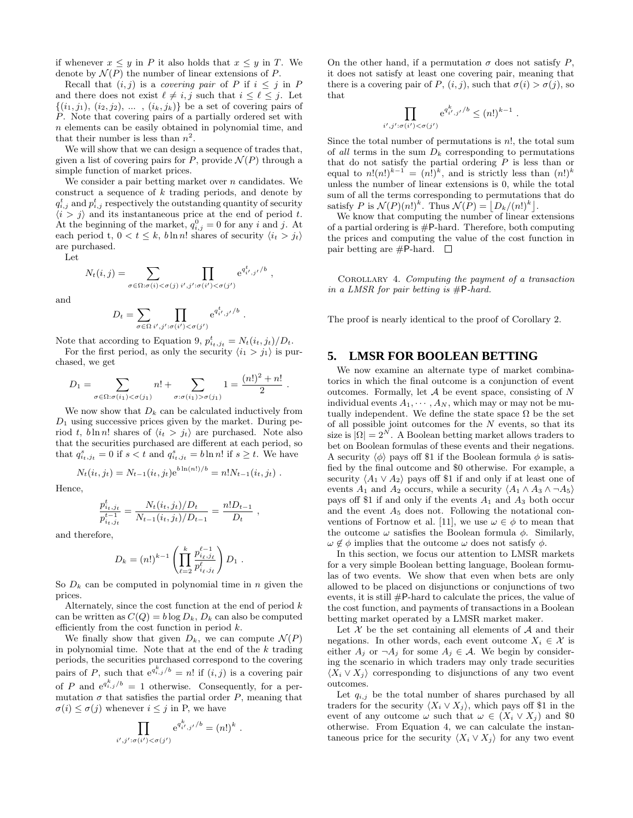if whenever  $x \leq y$  in P it also holds that  $x \leq y$  in T. We denote by  $\mathcal{N}(P)$  the number of linear extensions of P.

Recall that  $(i, j)$  is a *covering pair* of P if  $i \leq j$  in P and there does not exist  $\ell \neq i, j$  such that  $i \leq \ell \leq j$ . Let  $\{(i_1, j_1), (i_2, j_2), \ldots, (i_k, j_k)\}\$ be a set of covering pairs of P. Note that covering pairs of a partially ordered set with n elements can be easily obtained in polynomial time, and that their number is less than  $n^2$ .

We will show that we can design a sequence of trades that, given a list of covering pairs for P, provide  $\mathcal{N}(P)$  through a simple function of market prices.

We consider a pair betting market over  $n$  candidates. We construct a sequence of  $k$  trading periods, and denote by  $q_{i,j}^t$  and  $p_{i,j}^t$  respectively the outstanding quantity of security  $\langle i \rangle j$  and its instantaneous price at the end of period t. At the beginning of the market,  $q_{i,j}^0 = 0$  for any i and j. At each period t,  $0 < t \leq k$ , bln n! shares of security  $\langle i_t > j_t \rangle$ are purchased.

Let

$$
N_t(i,j) = \sum_{\sigma \in \Omega : \sigma(i) < \sigma(j)} \prod_{i',j':\sigma(i') < \sigma(j')} e^{q_{i',j'}^t / b}
$$

,

.

and

$$
D_t = \sum_{\sigma \in \Omega} \prod_{i',j':\sigma(i') < \sigma(j')} e^{q_{i',j'}^t/b}
$$

Note that according to Equation 9,  $p_{i_t,j_t}^t = N_t(i_t,j_t)/D_t$ .

For the first period, as only the security  $\langle i_1 > j_1 \rangle$  is purchased, we get

$$
D_1 = \sum_{\sigma \in \Omega : \sigma(i_1) < \sigma(j_1)} n! + \sum_{\sigma : \sigma(i_1) > \sigma(j_1)} 1 = \frac{(n!)^2 + n!}{2} \; .
$$

We now show that  $D_k$  can be calculated inductively from  $D_1$  using successive prices given by the market. During period t, bln n! shares of  $\langle i_t \rangle j_t$  are purchased. Note also that the securities purchased are different at each period, so that  $q_{i_t,j_t}^s = 0$  if  $s < t$  and  $q_{i_t,j_t}^s = b \ln n!$  if  $s \ge t$ . We have

$$
N_t(i_t, j_t) = N_{t-1}(i_t, j_t) e^{b \ln(n!) / b} = n! N_{t-1}(i_t, j_t) .
$$

Hence,

$$
\frac{p_{t_t,j_t}^t}{p_{t_t,j_t}^{t-1}} = \frac{N_t(i_t,j_t)/D_t}{N_{t-1}(i_t,j_t)/D_{t-1}} = \frac{n!D_{t-1}}{D_t},
$$

and therefore,

$$
D_k = (n!)^{k-1} \left( \prod_{\ell=2}^k \frac{p_{i_\ell,j_\ell}^{\ell-1}}{p_{i_\ell,j_\ell}^{\ell}} \right) D_1.
$$

So  $D_k$  can be computed in polynomial time in n given the prices.

Alternately, since the cost function at the end of period  $k$ can be written as  $C(Q) = b \log D_k$ ,  $D_k$  can also be computed efficiently from the cost function in period  $k$ .

We finally show that given  $D_k$ , we can compute  $\mathcal{N}(P)$ in polynomial time. Note that at the end of the  $k$  trading periods, the securities purchased correspond to the covering pairs of P, such that  $e^{q_{i,j}^k/b} = n!$  if  $(i, j)$  is a covering pair of P and  $e^{q_{i,j}^k/b} = 1$  otherwise. Consequently, for a permutation  $\sigma$  that satisfies the partial order P, meaning that  $\sigma(i) \leq \sigma(j)$  whenever  $i \leq j$  in P, we have

$$
\prod_{i',j':\sigma(i')<\sigma(j')} e^{q_{i',j'}^k / b} = (n!)^k
$$

.

On the other hand, if a permutation  $\sigma$  does not satisfy P, it does not satisfy at least one covering pair, meaning that there is a covering pair of P,  $(i, j)$ , such that  $\sigma(i) > \sigma(j)$ , so that

$$
\prod_{\substack{\prime,j':\sigma(i')<\sigma(j')}} e^{q_{i',j'}^k/b} \leq (n!)^{k-1}
$$

.

i

Since the total number of permutations is  $n!$ , the total sum of all terms in the sum  $D_k$  corresponding to permutations that do not satisfy the partial ordering  $P$  is less than or equal to  $n!(n!)^{k-1} = (n!)^k$ , and is strictly less than  $(n!)^k$ unless the number of linear extensions is 0, while the total sum of all the terms corresponding to permutations that do satisfy P is  $\mathcal{N}(P)(n!)^k$ . Thus  $\mathcal{N}(P) = |D_k/(n!)^k|$ .

We know that computing the number of linear extensions of a partial ordering is #P-hard. Therefore, both computing the prices and computing the value of the cost function in pair betting are  $#P$ -hard.  $\square$ 

Corollary 4. Computing the payment of a transaction in a LMSR for pair betting is #P-hard.

The proof is nearly identical to the proof of Corollary 2.

# **5. LMSR FOR BOOLEAN BETTING**

We now examine an alternate type of market combinatorics in which the final outcome is a conjunction of event outcomes. Formally, let  $A$  be event space, consisting of  $N$ individual events  $A_1, \dots, A_N$ , which may or may not be mutually independent. We define the state space  $\Omega$  be the set of all possible joint outcomes for the  $N$  events, so that its size is  $|\Omega| = 2^N$ . A Boolean betting market allows traders to bet on Boolean formulas of these events and their negations. A security  $\langle \phi \rangle$  pays off \$1 if the Boolean formula  $\phi$  is satisfied by the final outcome and \$0 otherwise. For example, a security  $\langle A_1 \vee A_2 \rangle$  pays off \$1 if and only if at least one of events  $A_1$  and  $A_2$  occurs, while a security  $\langle A_1 \wedge A_3 \wedge \neg A_5 \rangle$ pays off \$1 if and only if the events  $A_1$  and  $A_3$  both occur and the event  $A_5$  does not. Following the notational conventions of Fortnow et al. [11], we use  $\omega \in \phi$  to mean that the outcome  $\omega$  satisfies the Boolean formula  $\phi$ . Similarly,  $\omega \notin \phi$  implies that the outcome  $\omega$  does not satisfy  $\phi$ .

In this section, we focus our attention to LMSR markets for a very simple Boolean betting language, Boolean formulas of two events. We show that even when bets are only allowed to be placed on disjunctions or conjunctions of two events, it is still #P-hard to calculate the prices, the value of the cost function, and payments of transactions in a Boolean betting market operated by a LMSR market maker.

Let  $X$  be the set containing all elements of  $A$  and their negations. In other words, each event outcome  $X_i \in \mathcal{X}$  is either  $A_j$  or  $\neg A_j$  for some  $A_j \in \mathcal{A}$ . We begin by considering the scenario in which traders may only trade securities  $\langle X_i \vee X_j \rangle$  corresponding to disjunctions of any two event outcomes.

Let  $q_{i,j}$  be the total number of shares purchased by all traders for the security  $\langle X_i \vee X_j \rangle$ , which pays off \$1 in the event of any outcome  $\omega$  such that  $\omega \in (X_i \vee X_j)$  and \$0 otherwise. From Equation 4, we can calculate the instantaneous price for the security  $\langle X_i \vee X_j \rangle$  for any two event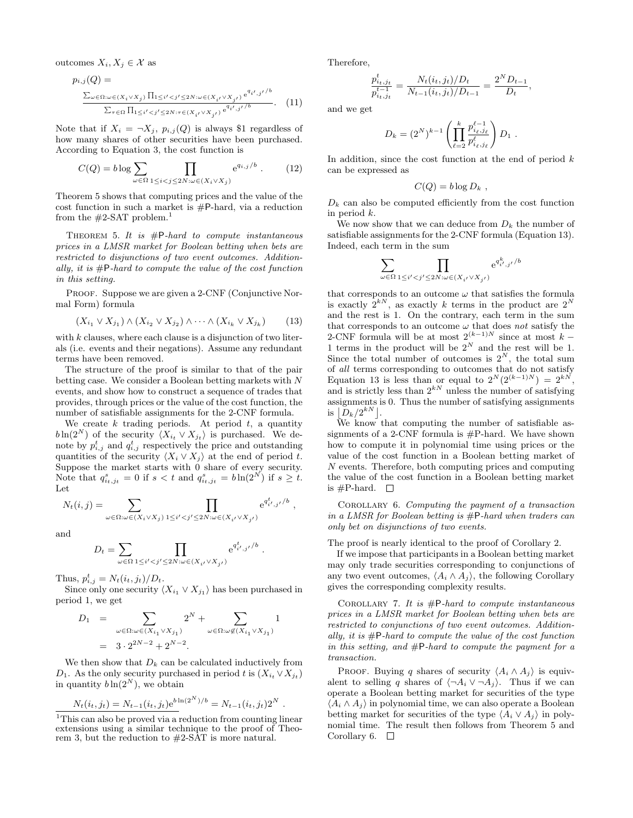outcomes  $X_i, X_j \in \mathcal{X}$  as

$$
p_{i,j}(Q) = \frac{\sum_{\omega \in \Omega : \omega \in (X_i \vee X_j)} \prod_{1 \le i' < j' \le 2N : \omega \in (X_{i'} \vee X_{j'})} e^{q_{i',j'}/b}}{\sum_{\tau \in \Omega} \prod_{1 \le i' < j' \le 2N : \tau \in (X_{i'} \vee X_{j'})} e^{q_{i',j'}/b}}.
$$
 (11)

Note that if  $X_i = \neg X_j$ ,  $p_{i,j}(Q)$  is always \$1 regardless of how many shares of other securities have been purchased. According to Equation 3, the cost function is

$$
C(Q) = b \log \sum_{\omega \in \Omega} \prod_{1 \le i < j \le 2N : \omega \in (X_i \vee X_j)} e^{q_{i,j}/b} \tag{12}
$$

Theorem 5 shows that computing prices and the value of the cost function in such a market is #P-hard, via a reduction from the  $#2$ -SAT problem.<sup>1</sup>

THEOREM 5. It is  $#P$ -hard to compute instantaneous prices in a LMSR market for Boolean betting when bets are restricted to disjunctions of two event outcomes. Additionally, it is  $#P$ -hard to compute the value of the cost function in this setting.

PROOF. Suppose we are given a 2-CNF (Conjunctive Normal Form) formula

$$
(X_{i_1} \vee X_{j_1}) \wedge (X_{i_2} \vee X_{j_2}) \wedge \cdots \wedge (X_{i_k} \vee X_{j_k}) \qquad (13)
$$

with  $k$  clauses, where each clause is a disjunction of two literals (i.e. events and their negations). Assume any redundant terms have been removed.

The structure of the proof is similar to that of the pair betting case. We consider a Boolean betting markets with N events, and show how to construct a sequence of trades that provides, through prices or the value of the cost function, the number of satisfiable assignments for the 2-CNF formula.

We create  $k$  trading periods. At period  $t$ , a quantity  $b \ln(2^N)$  of the security  $\langle X_{i_t} \vee X_{j_t} \rangle$  is purchased. We denote by  $p_{i,j}^t$  and  $q_{i,j}^t$  respectively the price and outstanding quantities of the security  $\langle X_i \vee X_j \rangle$  at the end of period t. Suppose the market starts with 0 share of every security. Note that  $q_{i_t,j_t}^s = 0$  if  $s < t$  and  $q_{i_t,j_t}^s = b \ln(2^N)$  if  $s \geq t$ . Let

> $\Pi$  $1{\leq}i'{<}j'{\leq}2N{:}\omega{\in}(X_{i'}{\vee}X_{j'})$

 $e^{q_{i',j'}^t / b}$ ,

.

and

$$
D_t = \sum_{\omega \in \Omega} \prod_{1 \leq i' < j' \leq 2N: \omega \in (X_{i'} \vee X_{j'})} {\rm e}^{q^t_{i',j'}/b}
$$

Thus,  $p_{i,j}^t = N_t(i_t, j_t)/D_t$ .

 $N_t(i,j) = \sum$ 

 $\omega{\in}\Omega{:}\omega{\in}(X_i{\vee}X_j)$ 

Since only one security  $\langle X_{i_1} \vee X_{j_1} \rangle$  has been purchased in period 1, we get

$$
D_1 = \sum_{\omega \in \Omega : \omega \in (X_{i_1} \vee X_{j_1})} 2^N + \sum_{\omega \in \Omega : \omega \notin (X_{i_1} \vee X_{j_1})} 1
$$
  
=  $3 \cdot 2^{2N-2} + 2^{N-2}$ .

We then show that  $D_k$  can be calculated inductively from  $D_1$ . As the only security purchased in period t is  $(X_{i_t} \vee X_{j_t})$ in quantity  $b \ln(2^N)$ , we obtain

$$
N_t(i_t, j_t) = N_{t-1}(i_t, j_t) e^{b \ln(2^N)/b} = N_{t-1}(i_t, j_t) 2^N.
$$

Therefore,

$$
\frac{p_{i_t,j_t}^t}{p_{i_t,j_t}^{t-1}} = \frac{N_t(i_t,j_t)/D_t}{N_{t-1}(i_t,j_t)/D_{t-1}} = \frac{2^ND_{t-1}}{D_t},
$$

and we get

$$
D_k = (2^N)^{k-1} \left( \prod_{\ell=2}^k \frac{p_{i_\ell, j_\ell}^{\ell-1}}{p_{i_\ell, j_\ell}^{\ell}} \right) D_1.
$$

In addition, since the cost function at the end of period  $k$ can be expressed as

$$
C(Q) = b \log D_k,
$$

 $D_k$  can also be computed efficiently from the cost function in period k.

We now show that we can deduce from  $D_k$  the number of satisfiable assignments for the 2-CNF formula (Equation 13). Indeed, each term in the sum

$$
\sum_{\omega \in \Omega} \prod_{1 \leq i' < j' \leq 2N: \omega \in (X_{i'} \vee X_{j'})} {\rm e}^{q_{i',j'}^k / b}
$$

that corresponds to an outcome  $\omega$  that satisfies the formula is exactly  $2^{kN}$ , as exactly k terms in the product are  $2^N$ and the rest is 1. On the contrary, each term in the sum that corresponds to an outcome  $\omega$  that does not satisfy the 2-CNF formula will be at most  $2^{(k-1)N}$  since at most  $k-$ 1 terms in the product will be  $2^N$  and the rest will be 1. Since the total number of outcomes is  $2^N$ , the total sum of all terms corresponding to outcomes that do not satisfy Equation 13 is less than or equal to  $2^N(2^{(k-1)N}) = 2^{kN}$ , and is strictly less than  $2^{kN}$  unless the number of satisfying assignments is 0. Thus the number of satisfying assignments is  $|D_k/2^{kN}|$ .

We know that computing the number of satisfiable assignments of a 2-CNF formula is  $#P$ -hard. We have shown how to compute it in polynomial time using prices or the value of the cost function in a Boolean betting market of N events. Therefore, both computing prices and computing the value of the cost function in a Boolean betting market is #P-hard.  $\square$ 

Corollary 6. Computing the payment of a transaction in a LMSR for Boolean betting is  $\#P$ -hard when traders can only bet on disjunctions of two events.

The proof is nearly identical to the proof of Corollary 2.

If we impose that participants in a Boolean betting market may only trade securities corresponding to conjunctions of any two event outcomes,  $\langle A_i \wedge A_j \rangle$ , the following Corollary gives the corresponding complexity results.

COROLLARY 7. It is  $#P$ -hard to compute instantaneous prices in a LMSR market for Boolean betting when bets are restricted to conjunctions of two event outcomes. Additionally, it is  $#P$ -hard to compute the value of the cost function in this setting, and #P-hard to compute the payment for a transaction.

PROOF. Buying q shares of security  $\langle A_i \wedge A_j \rangle$  is equivalent to selling q shares of  $\langle \neg A_i \vee \neg A_j \rangle$ . Thus if we can operate a Boolean betting market for securities of the type  $\langle A_i \wedge A_j \rangle$  in polynomial time, we can also operate a Boolean betting market for securities of the type  $\langle A_i \vee A_j \rangle$  in polynomial time. The result then follows from Theorem 5 and Corollary 6.  $\square$ 

<sup>&</sup>lt;sup>1</sup>This can also be proved via a reduction from counting linear extensions using a similar technique to the proof of Theorem 3, but the reduction to  $#2\text{-}S\text{AT}$  is more natural.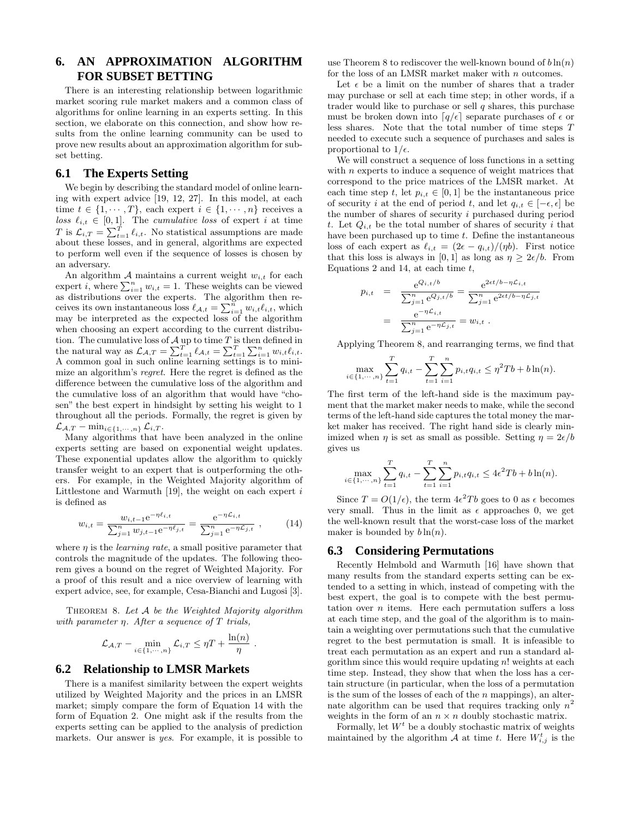# **6. AN APPROXIMATION ALGORITHM FOR SUBSET BETTING**

There is an interesting relationship between logarithmic market scoring rule market makers and a common class of algorithms for online learning in an experts setting. In this section, we elaborate on this connection, and show how results from the online learning community can be used to prove new results about an approximation algorithm for subset betting.

#### **6.1 The Experts Setting**

We begin by describing the standard model of online learning with expert advice [19, 12, 27]. In this model, at each time  $t \in \{1, \dots, T\}$ , each expert  $i \in \{1, \dots, n\}$  receives a loss  $\ell_{i,t} \in [0, 1]$ . The *cumulative loss* of expert i at time T is  $\mathcal{L}_{i,T} = \sum_{t=1}^{T} \ell_{i,t}$ . No statistical assumptions are made about these losses, and in general, algorithms are expected to perform well even if the sequence of losses is chosen by an adversary.

An algorithm  $A$  maintains a current weight  $w_{i,t}$  for each expert *i*, where  $\sum_{i=1}^{n} w_{i,t} = 1$ . These weights can be viewed as distributions over the experts. The algorithm then receives its own instantaneous loss  $\ell_{\mathcal{A},t} = \sum_{i=1}^n w_{i,t} \ell_{i,t}$ , which may be interpreted as the expected loss of the algorithm when choosing an expert according to the current distribution. The cumulative loss of  $\mathcal A$  up to time  $T$  is then defined in the natural way as  $\mathcal{L}_{A,T} = \sum_{t=1}^{T} \ell_{A,t} = \sum_{t=1}^{T} \sum_{i=1}^{n} w_{i,t} \ell_{i,t}.$ A common goal in such online learning settings is to minimize an algorithm's regret. Here the regret is defined as the difference between the cumulative loss of the algorithm and the cumulative loss of an algorithm that would have "chosen" the best expert in hindsight by setting his weight to 1 throughout all the periods. Formally, the regret is given by  $\mathcal{L}_{\mathcal{A},T} - \min_{i \in \{1,\dots,n\}} \mathcal{L}_{i,T}.$ 

Many algorithms that have been analyzed in the online experts setting are based on exponential weight updates. These exponential updates allow the algorithm to quickly transfer weight to an expert that is outperforming the others. For example, in the Weighted Majority algorithm of Littlestone and Warmuth [19], the weight on each expert  $i$ is defined as

$$
w_{i,t} = \frac{w_{i,t-1}e^{-\eta \ell_{i,t}}}{\sum_{j=1}^n w_{j,t-1}e^{-\eta \ell_{j,t}}} = \frac{e^{-\eta \mathcal{L}_{i,t}}}{\sum_{j=1}^n e^{-\eta \mathcal{L}_{j,t}}}, \quad (14)
$$

where  $\eta$  is the *learning rate*, a small positive parameter that controls the magnitude of the updates. The following theorem gives a bound on the regret of Weighted Majority. For a proof of this result and a nice overview of learning with expert advice, see, for example, Cesa-Bianchi and Lugosi [3].

THEOREM 8. Let  $A$  be the Weighted Majority algorithm with parameter  $\eta$ . After a sequence of T trials,

$$
\mathcal{L}_{\mathcal{A},T} - \min_{i \in \{1, \cdots, n\}} \mathcal{L}_{i,T} \leq \eta T + \frac{\ln(n)}{\eta} .
$$

# **6.2 Relationship to LMSR Markets**

There is a manifest similarity between the expert weights utilized by Weighted Majority and the prices in an LMSR market; simply compare the form of Equation 14 with the form of Equation 2. One might ask if the results from the experts setting can be applied to the analysis of prediction markets. Our answer is yes. For example, it is possible to use Theorem 8 to rediscover the well-known bound of  $b \ln(n)$ for the loss of an LMSR market maker with  $n$  outcomes.

Let  $\epsilon$  be a limit on the number of shares that a trader may purchase or sell at each time step; in other words, if a trader would like to purchase or sell  $q$  shares, this purchase must be broken down into  $\lceil q/\epsilon \rceil$  separate purchases of  $\epsilon$  or less shares. Note that the total number of time steps T needed to execute such a sequence of purchases and sales is proportional to  $1/\epsilon$ .

We will construct a sequence of loss functions in a setting with  $n$  experts to induce a sequence of weight matrices that correspond to the price matrices of the LMSR market. At each time step t, let  $p_{i,t} \in [0,1]$  be the instantaneous price of security i at the end of period t, and let  $q_{i,t} \in [-\epsilon, \epsilon]$  be the number of shares of security i purchased during period t. Let  $Q_{i,t}$  be the total number of shares of security i that have been purchased up to time  $t$ . Define the instantaneous loss of each expert as  $\ell_{i,t} = (2\epsilon - q_{i,t})/(\eta b)$ . First notice that this loss is always in [0, 1] as long as  $\eta \geq 2\epsilon/b$ . From Equations 2 and 14, at each time  $t$ ,

$$
p_{i,t} = \frac{e^{Q_{i,t}/b}}{\sum_{j=1}^{n} e^{Q_{j,t}/b}} = \frac{e^{2\epsilon t/b - \eta \mathcal{L}_{i,t}}}{\sum_{j=1}^{n} e^{2\epsilon t/b - \eta \mathcal{L}_{j,t}}}
$$

$$
= \frac{e^{-\eta \mathcal{L}_{i,t}}}{\sum_{j=1}^{n} e^{-\eta \mathcal{L}_{j,t}}} = w_{i,t} .
$$

Applying Theorem 8, and rearranging terms, we find that

$$
\max_{i \in \{1, \cdots, n\}} \sum_{t=1}^{T} q_{i,t} - \sum_{t=1}^{T} \sum_{i=1}^{n} p_{i,t} q_{i,t} \leq \eta^2 Tb + b \ln(n).
$$

The first term of the left-hand side is the maximum payment that the market maker needs to make, while the second terms of the left-hand side captures the total money the market maker has received. The right hand side is clearly minimized when  $\eta$  is set as small as possible. Setting  $\eta = 2\epsilon/b$ gives us

$$
\max_{i \in \{1, \cdots, n\}} \sum_{t=1}^{T} q_{i,t} - \sum_{t=1}^{T} \sum_{i=1}^{n} p_{i,t} q_{i,t} \le 4\epsilon^2 T b + b \ln(n).
$$

Since  $T = O(1/\epsilon)$ , the term  $4\epsilon^2 T b$  goes to 0 as  $\epsilon$  becomes very small. Thus in the limit as  $\epsilon$  approaches 0, we get the well-known result that the worst-case loss of the market maker is bounded by  $b \ln(n)$ .

#### **6.3 Considering Permutations**

Recently Helmbold and Warmuth [16] have shown that many results from the standard experts setting can be extended to a setting in which, instead of competing with the best expert, the goal is to compete with the best permutation over  $n$  items. Here each permutation suffers a loss at each time step, and the goal of the algorithm is to maintain a weighting over permutations such that the cumulative regret to the best permutation is small. It is infeasible to treat each permutation as an expert and run a standard algorithm since this would require updating  $n!$  weights at each time step. Instead, they show that when the loss has a certain structure (in particular, when the loss of a permutation is the sum of the losses of each of the  $n$  mappings), an alternate algorithm can be used that requires tracking only  $n^2$ weights in the form of an  $n \times n$  doubly stochastic matrix.

Formally, let  $W<sup>t</sup>$  be a doubly stochastic matrix of weights maintained by the algorithm  $A$  at time t. Here  $W_{i,j}^t$  is the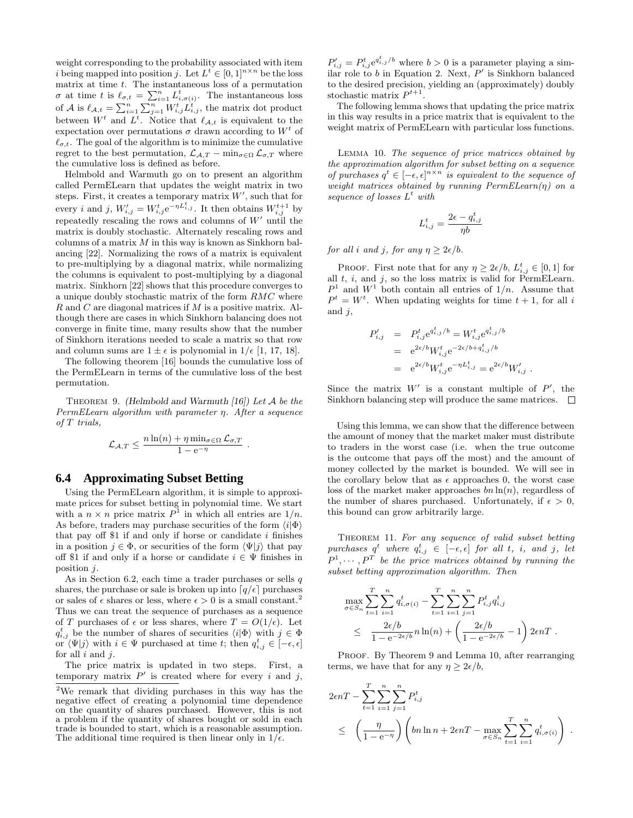weight corresponding to the probability associated with item i being mapped into position j. Let  $L^t \in [0,1]^{n \times n}$  be the loss matrix at time  $t$ . The instantaneous loss of a permutation  $\sigma$  at time t is  $\ell_{\sigma,t} = \sum_{i=1}^n L_{i,\sigma(i)}^t$ . The instantaneous loss of A is  $\ell_{\mathcal{A},t} = \sum_{i=1}^n \sum_{j=1}^n W_{i,j}^t L_{i,j}^t$ , the matrix dot product between  $W^t$  and  $L^t$ . Notice that  $\ell_{\mathcal{A},t}$  is equivalent to the expectation over permutations  $\sigma$  drawn according to  $W^t$  of  $\ell_{\sigma,t}$ . The goal of the algorithm is to minimize the cumulative regret to the best permutation,  $\mathcal{L}_{A,T} - \min_{\sigma \in \Omega} \mathcal{L}_{\sigma,T}$  where the cumulative loss is defined as before.

Helmbold and Warmuth go on to present an algorithm called PermELearn that updates the weight matrix in two steps. First, it creates a temporary matrix  $W'$ , such that for every *i* and *j*,  $W'_{i,j} = W^t_{i,j} e^{-\eta L^t_{i,j}}$ . It then obtains  $W^{t+1}_{i,j}$  by repeatedly rescaling the rows and columns of  $W'$  until the matrix is doubly stochastic. Alternately rescaling rows and columns of a matrix  $M$  in this way is known as Sinkhorn balancing [22]. Normalizing the rows of a matrix is equivalent to pre-multiplying by a diagonal matrix, while normalizing the columns is equivalent to post-multiplying by a diagonal matrix. Sinkhorn [22] shows that this procedure converges to a unique doubly stochastic matrix of the form  $RMC$  where  $R$  and  $C$  are diagonal matrices if  $M$  is a positive matrix. Although there are cases in which Sinkhorn balancing does not converge in finite time, many results show that the number of Sinkhorn iterations needed to scale a matrix so that row and column sums are  $1 \pm \epsilon$  is polynomial in  $1/\epsilon$  [1, 17, 18].

The following theorem [16] bounds the cumulative loss of the PermELearn in terms of the cumulative loss of the best permutation.

THEOREM 9. (Helmbold and Warmuth [16]) Let  $A$  be the PermELearn algorithm with parameter η. After a sequence of T trials,

$$
\mathcal{L}_{\mathcal{A},T} \leq \frac{n \ln(n) + \eta \min_{\sigma \in \Omega} \mathcal{L}_{\sigma,T}}{1 - e^{-\eta}}.
$$

#### **6.4 Approximating Subset Betting**

Using the PermELearn algorithm, it is simple to approximate prices for subset betting in polynomial time. We start with a  $n \times n$  price matrix  $P^1$  in which all entries are  $1/n$ . As before, traders may purchase securities of the form  $\langle i|\Phi\rangle$ that pay off \$1 if and only if horse or candidate  $i$  finishes in a position  $j \in \Phi$ , or securities of the form  $\langle \Psi | j \rangle$  that pay off \$1 if and only if a horse or candidate  $i \in \Psi$  finishes in position  $i$ .

As in Section 6.2, each time a trader purchases or sells  $q$ shares, the purchase or sale is broken up into  $\lceil q/\epsilon \rceil$  purchases or sales of  $\epsilon$  shares or less, where  $\epsilon > 0$  is a small constant.<sup>2</sup> Thus we can treat the sequence of purchases as a sequence of T purchases of  $\epsilon$  or less shares, where  $T = O(1/\epsilon)$ . Let  $q_{i,j}^t$  be the number of shares of securities  $\langle i | \Phi \rangle$  with  $j \in \Phi$ or  $\langle \Psi | j \rangle$  with  $i \in \Psi$  purchased at time t; then  $q_{i,j}^t \in [-\epsilon, \epsilon]$ for all  $i$  and  $j$ .

The price matrix is updated in two steps. First, a temporary matrix  $P'$  is created where for every i and j,

 $P'_{i,j} = P^t_{i,j} e^{q^t_{i,j}/b}$  where  $b > 0$  is a parameter playing a similar role to b in Equation 2. Next,  $P'$  is Sinkhorn balanced to the desired precision, yielding an (approximately) doubly stochastic matrix  $P^{t+1}$ .

The following lemma shows that updating the price matrix in this way results in a price matrix that is equivalent to the weight matrix of PermELearn with particular loss functions.

Lemma 10. The sequence of price matrices obtained by the approximation algorithm for subset betting on a sequence of purchases  $q^t \in [-\epsilon, \epsilon]^{n \times n}$  is equivalent to the sequence of weight matrices obtained by running  $PermELearn(n)$  on a sequence of losses  $L^t$  with

$$
L_{i,j}^t = \frac{2\epsilon - q_{i,j}^t}{\eta b}
$$

for all i and j, for any  $\eta \geq 2\epsilon/b$ .

PROOF. First note that for any  $\eta \geq 2\epsilon/b$ ,  $L_{i,j}^t \in [0,1]$  for all  $t$ ,  $i$ , and  $j$ , so the loss matrix is valid for PermELearn.  $P^1$  and  $W^1$  both contain all entries of  $1/n$ . Assume that  $P<sup>t</sup> = W<sup>t</sup>$ . When updating weights for time  $t + 1$ , for all i and  $j$ ,

$$
P'_{i,j} = P^t_{i,j} e^{q^t_{i,j}/b} = W^t_{i,j} e^{q^t_{i,j}/b}
$$
  
=  $e^{2\epsilon/b} W^t_{i,j} e^{-2\epsilon/b + q^t_{i,j}/b}$   
=  $e^{2\epsilon/b} W^t_{i,j} e^{-\eta L^t_{i,j}} = e^{2\epsilon/b} W'_{i,j}.$ 

Since the matrix  $W'$  is a constant multiple of  $P'$ , the Sinkhorn balancing step will produce the same matrices.  $\Box$ 

Using this lemma, we can show that the difference between the amount of money that the market maker must distribute to traders in the worst case (i.e. when the true outcome is the outcome that pays off the most) and the amount of money collected by the market is bounded. We will see in the corollary below that as  $\epsilon$  approaches 0, the worst case loss of the market maker approaches  $bn \ln(n)$ , regardless of the number of shares purchased. Unfortunately, if  $\epsilon > 0$ , this bound can grow arbitrarily large.

THEOREM 11. For any sequence of valid subset betting purchases  $q^t$  where  $q_{i,j}^t \in [-\epsilon, \epsilon]$  for all t, i, and j, let  $P^1, \cdots, P^T$  be the price matrices obtained by running the subset betting approximation algorithm. Then

$$
\max_{\sigma \in S_n} \sum_{t=1}^T \sum_{i=1}^n q_{i,\sigma(i)}^t - \sum_{t=1}^T \sum_{i=1}^n \sum_{j=1}^n P_{i,j}^t q_{i,j}^t
$$
\n
$$
\leq \frac{2\epsilon/b}{1 - e^{-2\epsilon/b}} n \ln(n) + \left(\frac{2\epsilon/b}{1 - e^{-2\epsilon/b}} - 1\right) 2\epsilon n T.
$$

PROOF. By Theorem 9 and Lemma 10, after rearranging terms, we have that for any  $\eta \geq 2\epsilon/b$ ,

$$
2\epsilon nT - \sum_{t=1}^{T} \sum_{i=1}^{n} \sum_{j=1}^{n} P_{i,j}^{t}
$$
  
 
$$
\leq \left(\frac{\eta}{1 - e^{-\eta}}\right) \left(bn \ln n + 2\epsilon nT - \max_{\sigma \in S_n} \sum_{t=1}^{T} \sum_{i=1}^{n} q_{i,\sigma(i)}^{t}\right).
$$

<sup>2</sup>We remark that dividing purchases in this way has the negative effect of creating a polynomial time dependence on the quantity of shares purchased. However, this is not a problem if the quantity of shares bought or sold in each trade is bounded to start, which is a reasonable assumption. The additional time required is then linear only in  $1/\epsilon$ .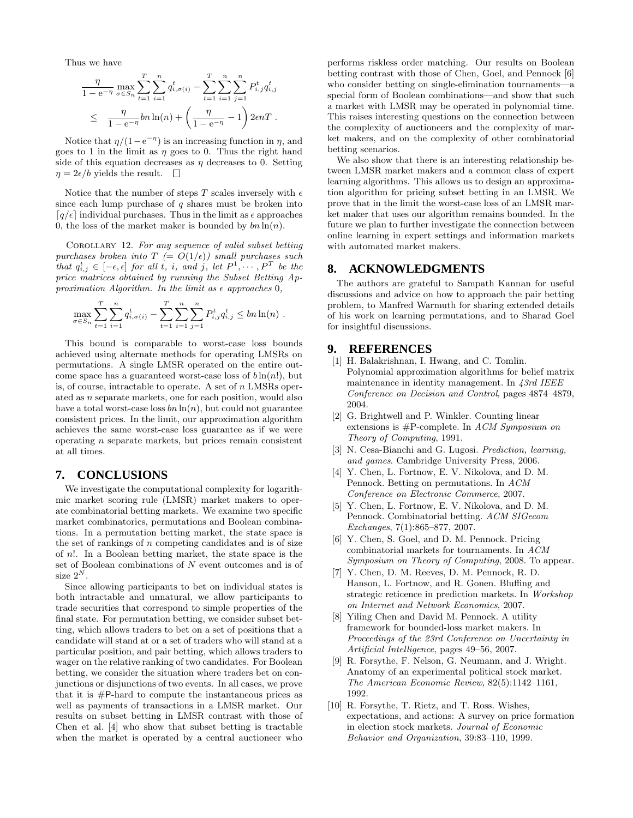Thus we have

$$
\frac{\eta}{1 - e^{-\eta}} \max_{\sigma \in S_n} \sum_{t=1}^T \sum_{i=1}^n q_{i,\sigma(i)}^t - \sum_{t=1}^T \sum_{i=1}^n \sum_{j=1}^n P_{i,j}^t q_{i,j}^t
$$
  

$$
\leq \frac{\eta}{1 - e^{-\eta}} b n \ln(n) + \left(\frac{\eta}{1 - e^{-\eta}} - 1\right) 2 \epsilon n T.
$$

Notice that  $\eta/(1-e^{-\eta})$  is an increasing function in  $\eta$ , and goes to 1 in the limit as  $\eta$  goes to 0. Thus the right hand side of this equation decreases as  $\eta$  decreases to 0. Setting  $\eta = 2\epsilon/b$  yields the result.  $\square$ 

Notice that the number of steps T scales inversely with  $\epsilon$ since each lump purchase of  $q$  shares must be broken into  $\lceil q/\epsilon \rceil$  individual purchases. Thus in the limit as  $\epsilon$  approaches 0, the loss of the market maker is bounded by  $bn \ln(n)$ .

COROLLARY 12. For any sequence of valid subset betting purchases broken into  $T = O(1/\epsilon)$  small purchases such that  $q_{i,j}^t \in [-\epsilon, \epsilon]$  for all t, i, and j, let  $P^1, \cdots, P^T$  be the price matrices obtained by running the Subset Betting Approximation Algorithm. In the limit as  $\epsilon$  approaches 0,

$$
\max_{\sigma \in S_n} \sum_{t=1}^T \sum_{i=1}^n q_{i,\sigma(i)}^t - \sum_{t=1}^T \sum_{i=1}^n \sum_{j=1}^n P_{i,j}^t q_{i,j}^t \le b n \ln(n) .
$$

This bound is comparable to worst-case loss bounds achieved using alternate methods for operating LMSRs on permutations. A single LMSR operated on the entire outcome space has a guaranteed worst-case loss of  $b \ln(n!)$ , but is, of course, intractable to operate. A set of  $n$  LMSRs operated as n separate markets, one for each position, would also have a total worst-case loss  $bn \ln(n)$ , but could not guarantee consistent prices. In the limit, our approximation algorithm achieves the same worst-case loss guarantee as if we were operating n separate markets, but prices remain consistent at all times.

# **7. CONCLUSIONS**

We investigate the computational complexity for logarithmic market scoring rule (LMSR) market makers to operate combinatorial betting markets. We examine two specific market combinatorics, permutations and Boolean combinations. In a permutation betting market, the state space is the set of rankings of  $n$  competing candidates and is of size of n!. In a Boolean betting market, the state space is the set of Boolean combinations of N event outcomes and is of size  $2^N$ .

Since allowing participants to bet on individual states is both intractable and unnatural, we allow participants to trade securities that correspond to simple properties of the final state. For permutation betting, we consider subset betting, which allows traders to bet on a set of positions that a candidate will stand at or a set of traders who will stand at a particular position, and pair betting, which allows traders to wager on the relative ranking of two candidates. For Boolean betting, we consider the situation where traders bet on conjunctions or disjunctions of two events. In all cases, we prove that it is  $#P$ -hard to compute the instantaneous prices as well as payments of transactions in a LMSR market. Our results on subset betting in LMSR contrast with those of Chen et al. [4] who show that subset betting is tractable when the market is operated by a central auctioneer who performs riskless order matching. Our results on Boolean betting contrast with those of Chen, Goel, and Pennock [6] who consider betting on single-elimination tournaments—a special form of Boolean combinations—and show that such a market with LMSR may be operated in polynomial time. This raises interesting questions on the connection between the complexity of auctioneers and the complexity of market makers, and on the complexity of other combinatorial betting scenarios.

We also show that there is an interesting relationship between LMSR market makers and a common class of expert learning algorithms. This allows us to design an approximation algorithm for pricing subset betting in an LMSR. We prove that in the limit the worst-case loss of an LMSR market maker that uses our algorithm remains bounded. In the future we plan to further investigate the connection between online learning in expert settings and information markets with automated market makers.

# **8. ACKNOWLEDGMENTS**

The authors are grateful to Sampath Kannan for useful discussions and advice on how to approach the pair betting problem, to Manfred Warmuth for sharing extended details of his work on learning permutations, and to Sharad Goel for insightful discussions.

# **9. REFERENCES**

- [1] H. Balakrishnan, I. Hwang, and C. Tomlin. Polynomial approximation algorithms for belief matrix maintenance in identity management. In 43rd IEEE Conference on Decision and Control, pages 4874–4879, 2004.
- [2] G. Brightwell and P. Winkler. Counting linear extensions is  $\#P$ -complete. In ACM Symposium on Theory of Computing, 1991.
- [3] N. Cesa-Bianchi and G. Lugosi. Prediction, learning, and games. Cambridge University Press, 2006.
- [4] Y. Chen, L. Fortnow, E. V. Nikolova, and D. M. Pennock. Betting on permutations. In ACM Conference on Electronic Commerce, 2007.
- [5] Y. Chen, L. Fortnow, E. V. Nikolova, and D. M. Pennock. Combinatorial betting. ACM SIGecom Exchanges, 7(1):865–877, 2007.
- [6] Y. Chen, S. Goel, and D. M. Pennock. Pricing combinatorial markets for tournaments. In ACM Symposium on Theory of Computing, 2008. To appear.
- [7] Y. Chen, D. M. Reeves, D. M. Pennock, R. D. Hanson, L. Fortnow, and R. Gonen. Bluffing and strategic reticence in prediction markets. In Workshop on Internet and Network Economics, 2007.
- [8] Yiling Chen and David M. Pennock. A utility framework for bounded-loss market makers. In Proceedings of the 23rd Conference on Uncertainty in Artificial Intelligence, pages 49–56, 2007.
- [9] R. Forsythe, F. Nelson, G. Neumann, and J. Wright. Anatomy of an experimental political stock market. The American Economic Review, 82(5):1142–1161, 1992.
- [10] R. Forsythe, T. Rietz, and T. Ross. Wishes, expectations, and actions: A survey on price formation in election stock markets. Journal of Economic Behavior and Organization, 39:83–110, 1999.